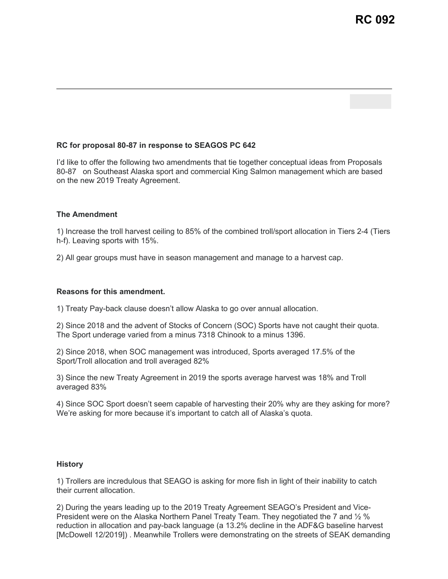## **RC for proposal 80-87 in response to SEAGOS PC 642**

I'd like to offer the following two amendments that tie together conceptual ideas from Proposals 80-87 on Southeast Alaska sport and commercial King Salmon management which are based on the new 2019 Treaty Agreement.

## **The Amendment**

1) Increase the troll harvest ceiling to 85% of the combined troll/sport allocation in Tiers 2-4 (Tiers h-f). Leaving sports with 15%.

2) All gear groups must have in season management and manage to a harvest cap.

## **Reasons for this amendment.**

1) Treaty Pay-back clause doesn't allow Alaska to go over annual allocation.

2) Since 2018 and the advent of Stocks of Concern (SOC) Sports have not caught their quota. The Sport underage varied from a minus 7318 Chinook to a minus 1396.

2) Since 2018, when SOC management was introduced, Sports averaged 17.5% of the Sport/Troll allocation and troll averaged 82%

3) Since the new Treaty Agreement in 2019 the sports average harvest was 18% and Troll averaged 83%

4) Since SOC Sport doesn't seem capable of harvesting their 20% why are they asking for more? We're asking for more because it's important to catch all of Alaska's quota.

## **History**

1) Trollers are incredulous that SEAGO is asking for more fish in light of their inability to catch their current allocation.

2) During the years leading up to the 2019 Treaty Agreement SEAGO's President and Vice-President were on the Alaska Northern Panel Treaty Team. They negotiated the 7 and ½ % reduction in allocation and pay-back language (a 13.2% decline in the ADF&G baseline harvest [McDowell 12/2019]) . Meanwhile Trollers were demonstrating on the streets of SEAK demanding